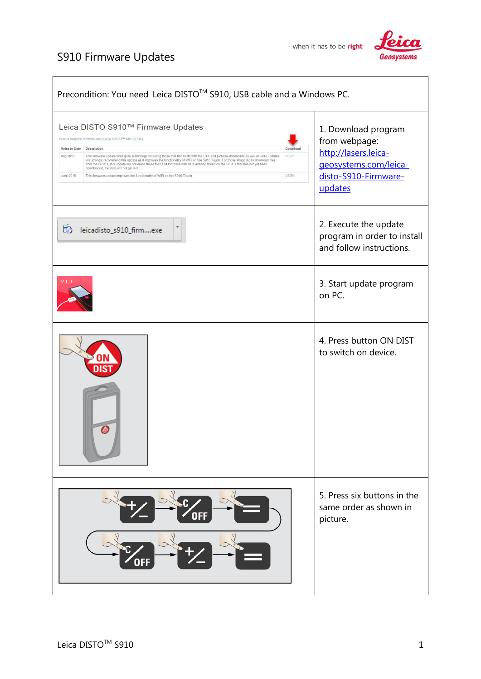## S910 Firmware Updates





| Precondition: You need Leica DISTO™ S910, USB cable and a Windows PC.                                                                                                                                                                                                                                                                                                                                                                                                                                                                                                                                                                                                                                                             |                                                                                                                          |
|-----------------------------------------------------------------------------------------------------------------------------------------------------------------------------------------------------------------------------------------------------------------------------------------------------------------------------------------------------------------------------------------------------------------------------------------------------------------------------------------------------------------------------------------------------------------------------------------------------------------------------------------------------------------------------------------------------------------------------------|--------------------------------------------------------------------------------------------------------------------------|
| Leica DISTO S910™ Firmware Updates<br>How to flash the firmware on a Leica DISTO™ S910 (PDF)<br>Release Date<br>Description<br>Download<br>Aug 2015<br>This firmware update fixes quite a few bugs including those that had to do with the DXF and pictures downloads as well as WiFi updates<br>V3371<br>We strongly recommend this update as it improves the functionality of WiFi on the S910 Touch. For those struggling to download files<br>from the DISTO, this update will not erase those files and for those with data already stored on the DISTO that has not yet been<br>downloaded, the data will not get lost.<br>This firmware update improves the functionality of WiFi on the S910 Touch.<br>V3254<br>June 2015 | 1. Download program<br>from webpage:<br>http://lasers.leica-<br>geosystems.com/leica-<br>disto-S910-Firmware-<br>updates |
| leicadisto_s910_firmexe                                                                                                                                                                                                                                                                                                                                                                                                                                                                                                                                                                                                                                                                                                           | 2. Execute the update<br>program in order to install<br>and follow instructions.                                         |
| V1.0                                                                                                                                                                                                                                                                                                                                                                                                                                                                                                                                                                                                                                                                                                                              | 3. Start update program<br>on PC.                                                                                        |
|                                                                                                                                                                                                                                                                                                                                                                                                                                                                                                                                                                                                                                                                                                                                   | 4. Press button ON DIST<br>to switch on device.                                                                          |
|                                                                                                                                                                                                                                                                                                                                                                                                                                                                                                                                                                                                                                                                                                                                   | 5. Press six buttons in the<br>same order as shown in<br>picture.                                                        |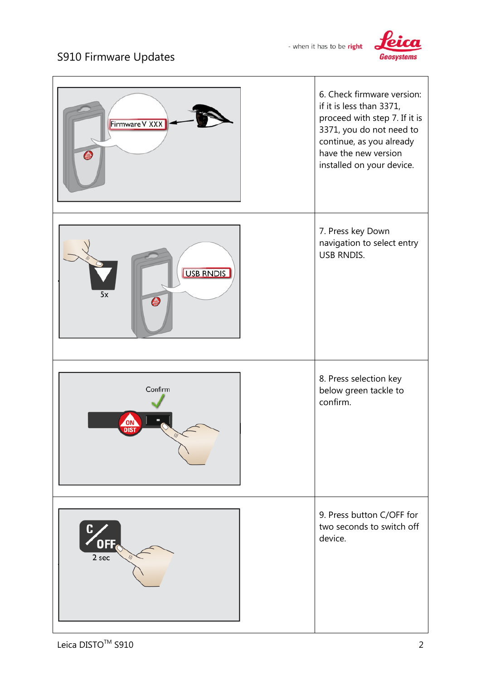

## S910 Firmware Updates